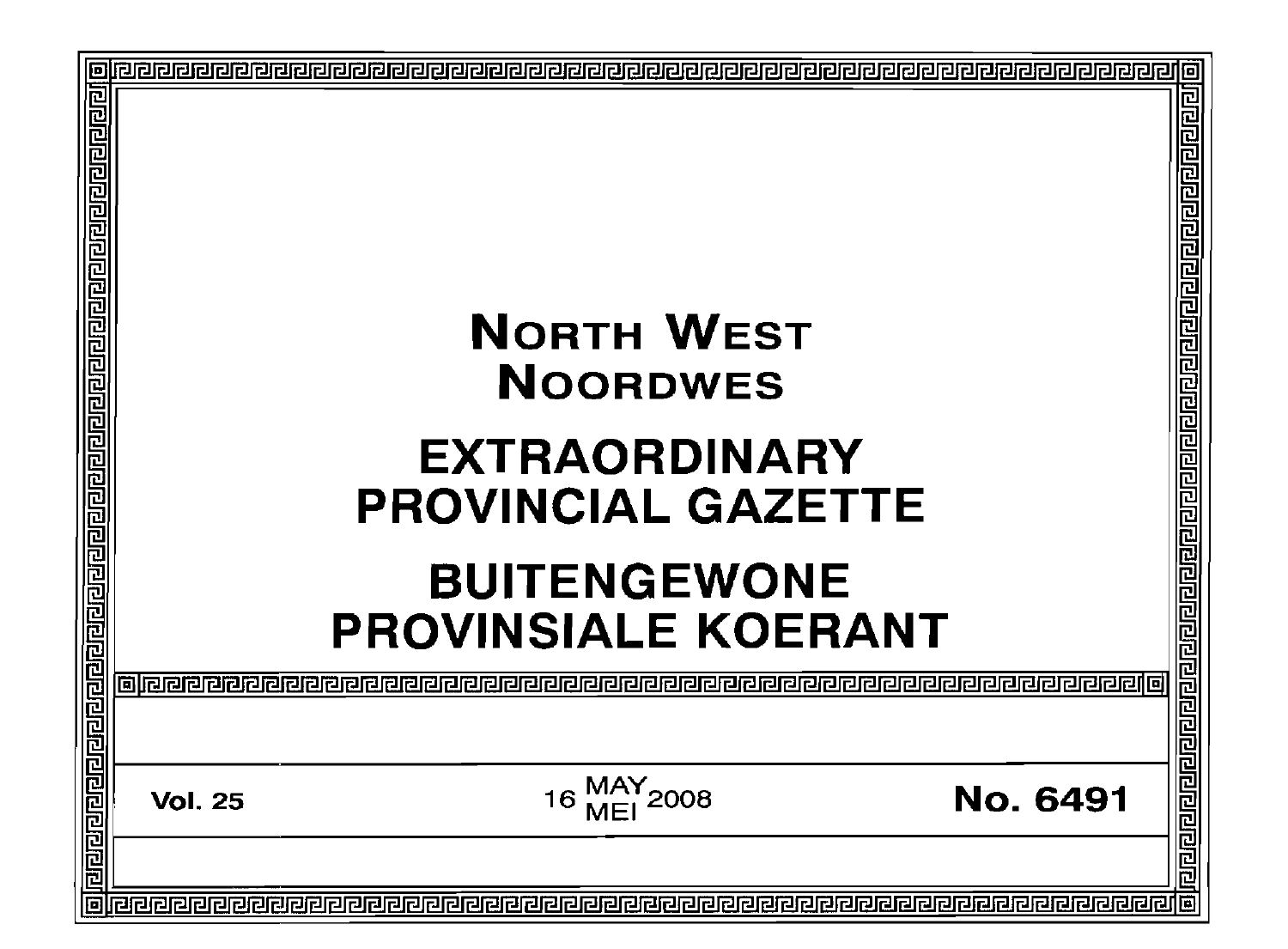| <u>बांबल बांबल बांबल बांबल बांबल बांबल बांबल बांबल बांबल बांबल बांबल बांबल बांबल बां</u> |                                                            | 卮<br>र ब्रिटो ब्रिटो ब्रिटो ब्रिटो ब्रिटो ब्रिटो ब्रिटो ब्रिटो ब्रिटो ब्रिटो ब्रिटो ब्रिटो ब्रिटो ब्रिटो |
|------------------------------------------------------------------------------------------|------------------------------------------------------------|----------------------------------------------------------------------------------------------------------|
|                                                                                          | <b>NORTH WEST</b><br><b>NOORDWES</b>                       |                                                                                                          |
|                                                                                          | <b>EXTRAORDINARY</b><br><b>PROVINCIAL GAZETTE</b>          |                                                                                                          |
|                                                                                          | <b>BUITENGEWONE</b><br><b>PROVINSIALE KOERANT</b>          |                                                                                                          |
|                                                                                          |                                                            | विरोधवेद्यविरोधस्य ब                                                                                     |
|                                                                                          | MAY<br>MEI 2008<br><b>No. 6491</b><br>16<br><b>Vol. 25</b> |                                                                                                          |
|                                                                                          |                                                            | 回                                                                                                        |